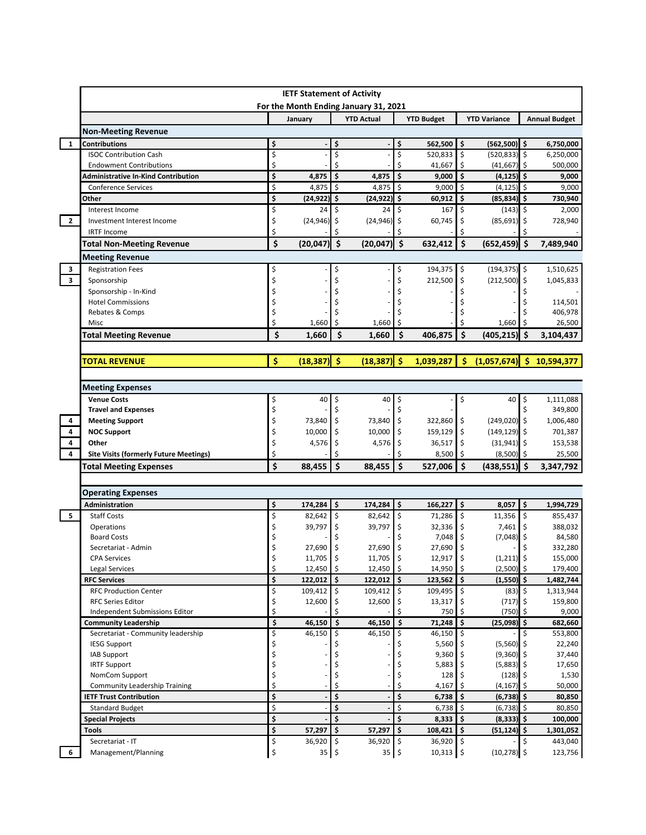|                         |                                               |          | <b>IETF Statement of Activity</b> |    | For the Month Ending January 31, 2021 |                         |                       |                    |                     |     |                      |
|-------------------------|-----------------------------------------------|----------|-----------------------------------|----|---------------------------------------|-------------------------|-----------------------|--------------------|---------------------|-----|----------------------|
|                         |                                               |          | January                           |    | <b>YTD Actual</b>                     |                         | <b>YTD Budget</b>     |                    | <b>YTD Variance</b> |     | <b>Annual Budget</b> |
|                         | <b>Non-Meeting Revenue</b>                    |          |                                   |    |                                       |                         |                       |                    |                     |     |                      |
| $\mathbf{1}$            | <b>Contributions</b>                          | \$       |                                   | \$ |                                       | \$                      | 562,500               | \$                 | $(562,500)$ \$      |     | 6,750,000            |
|                         | <b>ISOC Contribution Cash</b>                 | \$       |                                   | \$ |                                       | \$                      | 520,833               | \$                 | $(520, 833)$ \$     |     | 6,250,000            |
|                         | <b>Endowment Contributions</b>                | \$       |                                   | \$ |                                       | \$                      | 41,667                | \$                 | (41, 667)           | -\$ | 500,000              |
|                         | <b>Administrative In-Kind Contribution</b>    | \$       | 4,875                             | \$ | 4,875                                 | $\dot{\mathsf{s}}$      | 9,000                 | $\dot{\mathsf{s}}$ | $(4, 125)$ \$       |     | 9,000                |
|                         | <b>Conference Services</b>                    | \$       | 4,875                             | \$ | 4,875                                 | $\overline{\mathsf{s}}$ | 9,000                 | \$                 | $(4, 125)$ \$       |     | 9,000                |
|                         | Other                                         | \$       | (24, 922)                         | \$ | $(24, 922)$ \$                        |                         | 60,912                | \$                 | $(85, 834)$ \$      |     | 730,940              |
|                         | Interest Income                               | \$       | 24                                | \$ | 24                                    | \$                      | 167                   | \$                 | $(143)$ \$          |     | 2,000                |
| $\overline{2}$          | Investment Interest Income                    | \$       | (24, 946)                         | \$ | (24, 946)                             | \$                      | 60,745                | Ś                  | $(85,691)$ \$       |     | 728,940              |
|                         | <b>IRTF Income</b>                            | Ś        |                                   | Ś  |                                       | Ś                       |                       | Ś                  |                     |     |                      |
|                         | <b>Total Non-Meeting Revenue</b>              | \$       | $(20,047)$ \$                     |    | (20, 047)                             | $\ddot{\bm{\zeta}}$     | 632,412               | \$                 | $(652, 459)$ \$     |     | 7,489,940            |
|                         | <b>Meeting Revenue</b>                        |          |                                   |    |                                       |                         |                       |                    |                     |     |                      |
| 3                       | <b>Registration Fees</b>                      |          |                                   | Ś  |                                       | \$                      | 194,375               | \$                 | $(194, 375)$ \$     |     | 1,510,625            |
| $\overline{\mathbf{3}}$ | Sponsorship                                   | Ś        |                                   |    |                                       | Ś                       | 212,500               | \$                 | $(212,500)$ \$      |     | 1,045,833            |
|                         | Sponsorship - In-Kind                         |          |                                   |    |                                       |                         |                       |                    |                     |     |                      |
|                         | <b>Hotel Commissions</b>                      |          |                                   |    |                                       |                         |                       |                    |                     |     | 114,501              |
|                         | Rebates & Comps                               |          |                                   |    |                                       |                         |                       |                    |                     |     | 406,978              |
|                         | Misc                                          | \$       | 1,660                             | \$ | 1,660                                 | \$                      |                       |                    | 1,660               | \$. | 26,500               |
|                         | <b>Total Meeting Revenue</b>                  | Ś        | 1,660                             | \$ | 1,660                                 | Ś                       | 406,875               | Ś                  | (405, 215)          | Ś   | 3,104,437            |
|                         |                                               |          |                                   |    |                                       |                         |                       |                    |                     |     |                      |
|                         | <b>TOTAL REVENUE</b>                          | \$       | $(18, 387)$ \$                    |    | $(18, 387)$ \$                        |                         | 1,039,287             | \$                 | (1,057,674)         | Ŝ.  | 10,594,377           |
|                         |                                               |          |                                   |    |                                       |                         |                       |                    |                     |     |                      |
|                         | <b>Meeting Expenses</b>                       |          |                                   |    |                                       |                         |                       |                    |                     |     |                      |
|                         | <b>Venue Costs</b>                            | \$       | 40                                | \$ | 40                                    | \$                      |                       | \$                 | 40                  | \$  | 1,111,088            |
|                         | <b>Travel and Expenses</b>                    | \$       |                                   | \$ |                                       | \$                      |                       |                    |                     | \$  | 349,800              |
| 4                       | <b>Meeting Support</b>                        | \$       | 73,840                            | \$ | 73,840                                | \$                      | 322,860               | \$                 | $(249,020)$ \$      |     | 1,006,480            |
| 4                       | <b>NOC Support</b>                            | \$       | 10,000                            | \$ | 10,000                                | \$                      | 159,129               | \$                 | $(149, 129)$ \$     |     | 701,387              |
| 4                       | Other                                         | \$       | 4,576                             | \$ | 4,576                                 | \$                      | 36,517                | \$                 | $(31,941)$ \$       |     | 153,538              |
| 4                       | <b>Site Visits (formerly Future Meetings)</b> |          |                                   | Ś  |                                       | Ś                       | 8,500                 | \$                 | $(8,500)$ \$        |     | 25,500               |
|                         | <b>Total Meeting Expenses</b>                 | \$       | 88,455                            | \$ | 88,455                                | $\zeta$                 | 527,006 \$            |                    | $(438,551)$ \$      |     | 3,347,792            |
|                         |                                               |          |                                   |    |                                       |                         |                       |                    |                     |     |                      |
|                         | <b>Operating Expenses</b><br>Administration   | \$       | 174,284                           | \$ | $174,284$ \$                          |                         | 166,227               | \$                 | 8,057               | l\$ | 1,994,729            |
| 5                       | <b>Staff Costs</b>                            | \$       | 82.642                            | \$ | $82,642$ \$                           |                         | 71,286 \$             |                    | 11,356              | l\$ | 855,437              |
|                         | Operations                                    | \$       | 39,797                            | \$ | 39,797                                | \$                      | 32,336                | \$                 | 7,461               | ۱\$ | 388,032              |
|                         | <b>Board Costs</b>                            |          |                                   |    |                                       |                         | 7,048                 | \$                 | (7,048)             | \$  | 84,580               |
|                         | Secretariat - Admin                           | Ś        | 27,690                            | \$ | 27,690                                | \$                      | 27,690                | \$                 |                     | \$  | 332,280              |
|                         | <b>CPA Services</b>                           | Ş        | $11,705$   \$                     |    | $11,705$ $\frac{1}{5}$                |                         | $12,917$ \$           |                    | $(1,211)$ \$        |     | 155,000              |
|                         | <b>Legal Services</b>                         | \$       | 12,450                            | \$ | 12,450 \$                             |                         | $14,950$ \$           |                    | $(2,500)$ \$        |     | 179,400              |
|                         | <b>RFC Services</b>                           | \$       | 122,012                           | \$ | $122,012$ \$                          |                         | $123,562$ \$          |                    | $(1,550)$ \$        |     | 1,482,744            |
|                         | <b>RFC Production Center</b>                  | \$       | 109,412                           | \$ | $109,412$ \$                          |                         | 109,495 \$            |                    | $(83)$ \$           |     | 1,313,944            |
|                         | <b>RFC Series Editor</b>                      | \$       | 12,600                            |    | 12,600                                | \$                      | 13,317                |                    | (717)               |     | 159,800              |
|                         | Independent Submissions Editor                | Ś        |                                   |    |                                       | Ś                       | 750                   | Ś                  | (750)               | Ŝ.  | 9,000                |
|                         | <b>Community Leadership</b>                   | \$       | 46,150                            | \$ | 46,150                                | \$                      | 71,248                | \$                 | $(25,098)$ \$       |     | 682,660              |
|                         | Secretariat - Community leadership            | \$       | 46,150                            | \$ | 46,150                                | \$                      | $46,150$ \$           |                    |                     | \$. | 553,800              |
|                         | <b>IESG Support</b>                           | \$       |                                   |    |                                       |                         | 5,560                 |                    | $(5,560)$ \$        |     | 22,240               |
|                         | <b>IAB Support</b>                            |          |                                   |    |                                       |                         | $9,360$ \$            |                    | $(9,360)$ \$        |     | 37,440               |
|                         | <b>IRTF Support</b>                           | \$       |                                   |    |                                       | \$                      | $5,883$ $\frac{5}{7}$ |                    | $(5,883)$ \$        |     | 17,650               |
|                         | NomCom Support                                | \$       |                                   | \$ |                                       | \$                      | 128                   |                    | $(128)$ \$          |     | 1,530                |
|                         | <b>Community Leadership Training</b>          | \$       |                                   | \$ |                                       | \$                      | 4,167                 |                    | $(4, 167)$ \$       |     | 50,000               |
|                         | <b>IETF Trust Contribution</b>                | \$       |                                   | \$ |                                       | \$                      | 6,738                 | \$.                | $(6,738)$ \$        |     | 80,850               |
|                         | <b>Standard Budget</b>                        | \$       |                                   | \$ |                                       | \$                      | $6,738$ \$            |                    | $(6,738)$ \$        |     | 80,850               |
|                         | <b>Special Projects</b>                       | \$       |                                   | \$ |                                       | \$                      | 8,333                 | \$.                | $(8,333)$ \$        |     | 100,000              |
|                         | <b>Tools</b>                                  | \$       | 57,297                            | \$ | 57,297                                | l\$                     | 108,421               | I\$                | $(51, 124)$ \$      |     | 1,301,052            |
| 6                       | Secretariat - IT                              | \$<br>\$ | 36,920                            | \$ | 36,920 \$                             |                         | $36,920$ \$           |                    |                     | \$  | 443,040              |
|                         | Management/Planning                           |          | 35                                | \$ | 35                                    | \$                      | 10,313                |                    | (10, 278)           | l\$ | 123,756              |